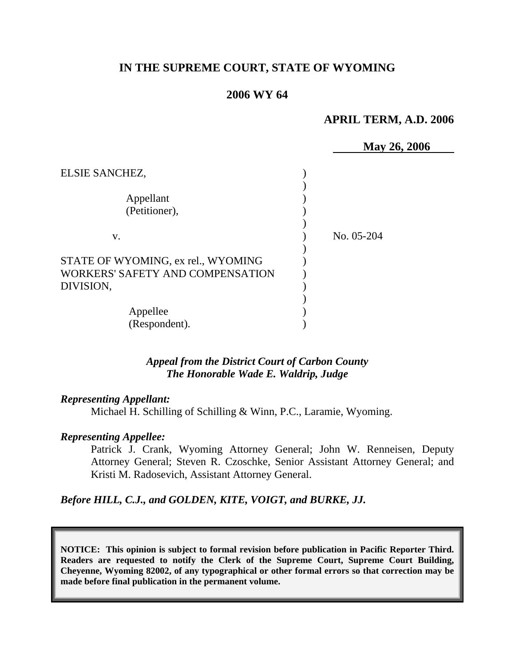# **IN THE SUPREME COURT, STATE OF WYOMING**

## **2006 WY 64**

### **APRIL TERM, A.D. 2006**

|                                    | May 26, 2006 |
|------------------------------------|--------------|
| ELSIE SANCHEZ,                     |              |
|                                    |              |
| Appellant                          |              |
| (Petitioner),                      |              |
|                                    |              |
| V.                                 | No. 05-204   |
| STATE OF WYOMING, ex rel., WYOMING |              |
| WORKERS' SAFETY AND COMPENSATION   |              |
| DIVISION,                          |              |
|                                    |              |
| Appellee                           |              |
| (Respondent).                      |              |

## *Appeal from the District Court of Carbon County The Honorable Wade E. Waldrip, Judge*

### *Representing Appellant:*

Michael H. Schilling of Schilling & Winn, P.C., Laramie, Wyoming.

### *Representing Appellee:*

Patrick J. Crank, Wyoming Attorney General; John W. Renneisen, Deputy Attorney General; Steven R. Czoschke, Senior Assistant Attorney General; and Kristi M. Radosevich, Assistant Attorney General.

*Before HILL, C.J., and GOLDEN, KITE, VOIGT, and BURKE, JJ.* 

**NOTICE: This opinion is subject to formal revision before publication in Pacific Reporter Third. Readers are requested to notify the Clerk of the Supreme Court, Supreme Court Building, Cheyenne, Wyoming 82002, of any typographical or other formal errors so that correction may be made before final publication in the permanent volume.**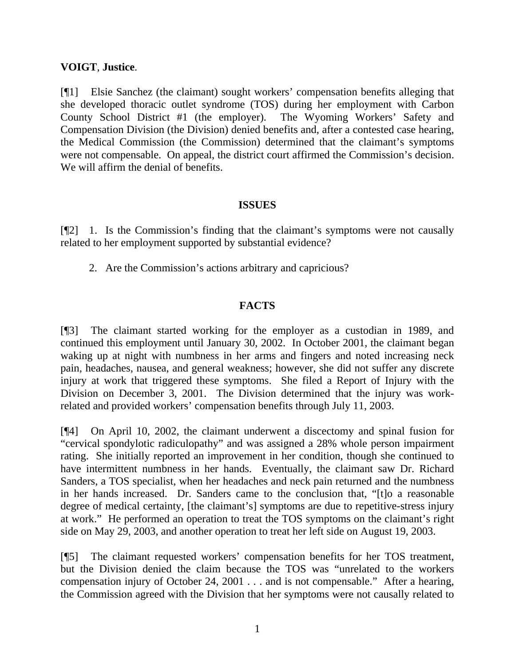## **VOIGT**, **Justice**.

[¶1] Elsie Sanchez (the claimant) sought workers' compensation benefits alleging that she developed thoracic outlet syndrome (TOS) during her employment with Carbon County School District #1 (the employer). The Wyoming Workers' Safety and Compensation Division (the Division) denied benefits and, after a contested case hearing, the Medical Commission (the Commission) determined that the claimant's symptoms were not compensable. On appeal, the district court affirmed the Commission's decision. We will affirm the denial of benefits.

## **ISSUES**

[¶2] 1. Is the Commission's finding that the claimant's symptoms were not causally related to her employment supported by substantial evidence?

2. Are the Commission's actions arbitrary and capricious?

# **FACTS**

[¶3] The claimant started working for the employer as a custodian in 1989, and continued this employment until January 30, 2002. In October 2001, the claimant began waking up at night with numbness in her arms and fingers and noted increasing neck pain, headaches, nausea, and general weakness; however, she did not suffer any discrete injury at work that triggered these symptoms. She filed a Report of Injury with the Division on December 3, 2001. The Division determined that the injury was workrelated and provided workers' compensation benefits through July 11, 2003.

[¶4] On April 10, 2002, the claimant underwent a discectomy and spinal fusion for "cervical spondylotic radiculopathy" and was assigned a 28% whole person impairment rating. She initially reported an improvement in her condition, though she continued to have intermittent numbness in her hands. Eventually, the claimant saw Dr. Richard Sanders, a TOS specialist, when her headaches and neck pain returned and the numbness in her hands increased. Dr. Sanders came to the conclusion that, "[t]o a reasonable degree of medical certainty, [the claimant's] symptoms are due to repetitive-stress injury at work." He performed an operation to treat the TOS symptoms on the claimant's right side on May 29, 2003, and another operation to treat her left side on August 19, 2003.

[¶5] The claimant requested workers' compensation benefits for her TOS treatment, but the Division denied the claim because the TOS was "unrelated to the workers compensation injury of October 24, 2001 . . . and is not compensable." After a hearing, the Commission agreed with the Division that her symptoms were not causally related to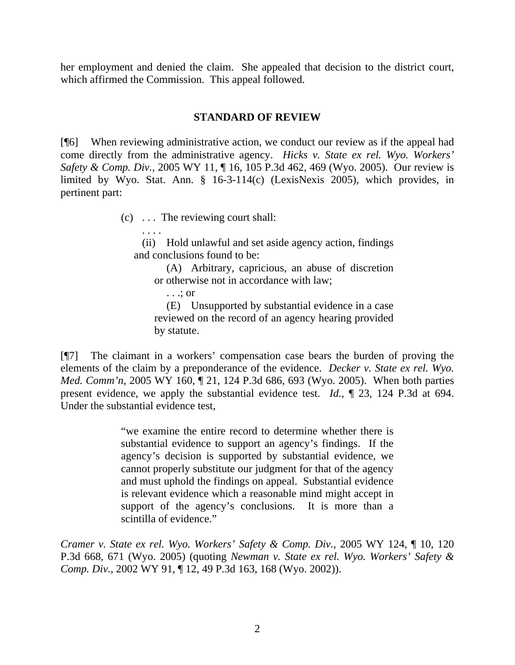her employment and denied the claim. She appealed that decision to the district court, which affirmed the Commission. This appeal followed.

## **STANDARD OF REVIEW**

[¶6] When reviewing administrative action, we conduct our review as if the appeal had come directly from the administrative agency. *Hicks v. State ex rel. Wyo. Workers' Safety & Comp. Div.*, 2005 WY 11, ¶ 16, 105 P.3d 462, 469 (Wyo. 2005). Our review is limited by Wyo. Stat. Ann. § 16-3-114(c) (LexisNexis 2005), which provides, in pertinent part:

(c) . . . The reviewing court shall:

(ii) Hold unlawful and set aside agency action, findings and conclusions found to be:

(A) Arbitrary, capricious, an abuse of discretion or otherwise not in accordance with law;

. . .; or

. . . .

(E) Unsupported by substantial evidence in a case reviewed on the record of an agency hearing provided by statute.

[¶7] The claimant in a workers' compensation case bears the burden of proving the elements of the claim by a preponderance of the evidence. *Decker v. State ex rel. Wyo. Med. Comm'n,* 2005 WY 160, 121, 124 P.3d 686, 693 (Wyo. 2005). When both parties present evidence, we apply the substantial evidence test. *Id.*, ¶ 23, 124 P.3d at 694. Under the substantial evidence test,

> "we examine the entire record to determine whether there is substantial evidence to support an agency's findings. If the agency's decision is supported by substantial evidence, we cannot properly substitute our judgment for that of the agency and must uphold the findings on appeal. Substantial evidence is relevant evidence which a reasonable mind might accept in support of the agency's conclusions. It is more than a scintilla of evidence."

*Cramer v. State ex rel. Wyo. Workers' Safety & Comp. Div.*, 2005 WY 124, ¶ 10, 120 P.3d 668, 671 (Wyo. 2005) (quoting *Newman v. State ex rel. Wyo. Workers' Safety & Comp. Div.*, 2002 WY 91, ¶ 12, 49 P.3d 163, 168 (Wyo. 2002)).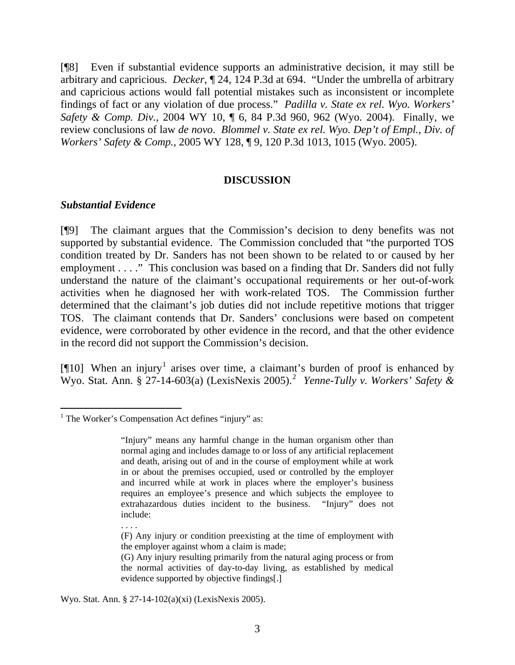[¶8] Even if substantial evidence supports an administrative decision, it may still be arbitrary and capricious. *Decker*, ¶ 24, 124 P.3d at 694. "Under the umbrella of arbitrary and capricious actions would fall potential mistakes such as inconsistent or incomplete findings of fact or any violation of due process." *Padilla v. State ex rel. Wyo. Workers' Safety & Comp. Div.*, 2004 WY 10, ¶ 6, 84 P.3d 960, 962 (Wyo. 2004). Finally, we review conclusions of law *de novo*. *Blommel v. State ex rel. Wyo. Dep't of Empl., Div. of Workers' Safety & Comp.*, 2005 WY 128, ¶ 9, 120 P.3d 1013, 1015 (Wyo. 2005).

### **DISCUSSION**

### *Substantial Evidence*

 $\overline{a}$ 

[¶9] The claimant argues that the Commission's decision to deny benefits was not supported by substantial evidence. The Commission concluded that "the purported TOS condition treated by Dr. Sanders has not been shown to be related to or caused by her employment . . . ." This conclusion was based on a finding that Dr. Sanders did not fully understand the nature of the claimant's occupational requirements or her out-of-work activities when he diagnosed her with work-related TOS. The Commission further determined that the claimant's job duties did not include repetitive motions that trigger TOS. The claimant contends that Dr. Sanders' conclusions were based on competent evidence, were corroborated by other evidence in the record, and that the other evidence in the record did not support the Commission's decision.

[ $[10]$  $[10]$  $[10]$  When an injury<sup>1</sup> arises over time, a claimant's burden of proof is enhanced by Wyo. Stat. Ann. § 27-14-603(a) (LexisNexis 2005).[2](#page-3-1) *Yenne-Tully v. Workers' Safety &* 

- . . . .
- (F) Any injury or condition preexisting at the time of employment with the employer against whom a claim is made;
- (G) Any injury resulting primarily from the natural aging process or from the normal activities of day-to-day living, as established by medical evidence supported by objective findings[.]

<span id="page-3-1"></span>Wyo. Stat. Ann. § 27-14-102(a)(xi) (LexisNexis 2005).

<span id="page-3-0"></span><sup>&</sup>lt;sup>1</sup> The Worker's Compensation Act defines "injury" as:

<sup>&</sup>quot;Injury" means any harmful change in the human organism other than normal aging and includes damage to or loss of any artificial replacement and death, arising out of and in the course of employment while at work in or about the premises occupied, used or controlled by the employer and incurred while at work in places where the employer's business requires an employee's presence and which subjects the employee to extrahazardous duties incident to the business. "Injury" does not include: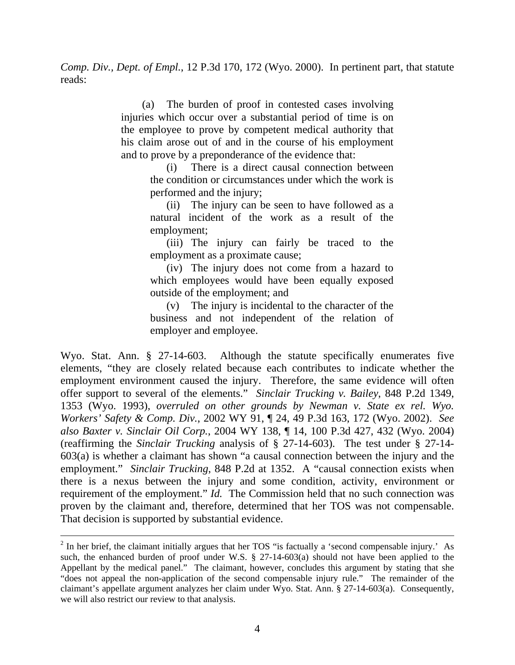*Comp. Div., Dept. of Empl.*, 12 P.3d 170, 172 (Wyo. 2000). In pertinent part, that statute reads:

> (a) The burden of proof in contested cases involving injuries which occur over a substantial period of time is on the employee to prove by competent medical authority that his claim arose out of and in the course of his employment and to prove by a preponderance of the evidence that:

(i) There is a direct causal connection between the condition or circumstances under which the work is performed and the injury;

(ii) The injury can be seen to have followed as a natural incident of the work as a result of the employment;

(iii) The injury can fairly be traced to the employment as a proximate cause;

(iv) The injury does not come from a hazard to which employees would have been equally exposed outside of the employment; and

(v) The injury is incidental to the character of the business and not independent of the relation of employer and employee.

Wyo. Stat. Ann. § 27-14-603. Although the statute specifically enumerates five elements, "they are closely related because each contributes to indicate whether the employment environment caused the injury. Therefore, the same evidence will often offer support to several of the elements." *Sinclair Trucking v. Bailey*, 848 P.2d 1349, 1353 (Wyo. 1993), *overruled on other grounds by Newman v. State ex rel. Wyo. Workers' Safety & Comp. Div.*, 2002 WY 91, ¶ 24, 49 P.3d 163, 172 (Wyo. 2002). *See also Baxter v. Sinclair Oil Corp.*, 2004 WY 138, ¶ 14, 100 P.3d 427, 432 (Wyo. 2004) (reaffirming the *Sinclair Trucking* analysis of § 27-14-603). The test under § 27-14- 603(a) is whether a claimant has shown "a causal connection between the injury and the employment." *Sinclair Trucking*, 848 P.2d at 1352. A "causal connection exists when there is a nexus between the injury and some condition, activity, environment or requirement of the employment." *Id.* The Commission held that no such connection was proven by the claimant and, therefore, determined that her TOS was not compensable. That decision is supported by substantial evidence.

 $\overline{a}$ 

 $2^{2}$  In her brief, the claimant initially argues that her TOS "is factually a 'second compensable injury.' As such, the enhanced burden of proof under W.S. § 27-14-603(a) should not have been applied to the Appellant by the medical panel." The claimant, however, concludes this argument by stating that she "does not appeal the non-application of the second compensable injury rule." The remainder of the claimant's appellate argument analyzes her claim under Wyo. Stat. Ann. § 27-14-603(a). Consequently, we will also restrict our review to that analysis.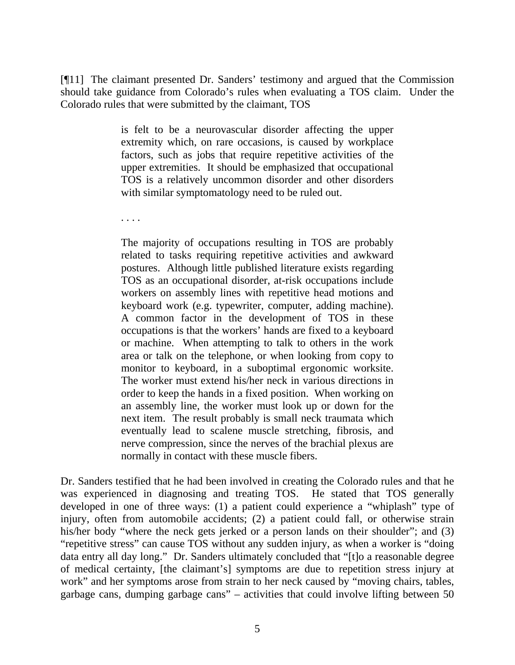[¶11] The claimant presented Dr. Sanders' testimony and argued that the Commission should take guidance from Colorado's rules when evaluating a TOS claim. Under the Colorado rules that were submitted by the claimant, TOS

> is felt to be a neurovascular disorder affecting the upper extremity which, on rare occasions, is caused by workplace factors, such as jobs that require repetitive activities of the upper extremities. It should be emphasized that occupational TOS is a relatively uncommon disorder and other disorders with similar symptomatology need to be ruled out.

. . . .

The majority of occupations resulting in TOS are probably related to tasks requiring repetitive activities and awkward postures. Although little published literature exists regarding TOS as an occupational disorder, at-risk occupations include workers on assembly lines with repetitive head motions and keyboard work (e.g. typewriter, computer, adding machine). A common factor in the development of TOS in these occupations is that the workers' hands are fixed to a keyboard or machine. When attempting to talk to others in the work area or talk on the telephone, or when looking from copy to monitor to keyboard, in a suboptimal ergonomic worksite. The worker must extend his/her neck in various directions in order to keep the hands in a fixed position. When working on an assembly line, the worker must look up or down for the next item. The result probably is small neck traumata which eventually lead to scalene muscle stretching, fibrosis, and nerve compression, since the nerves of the brachial plexus are normally in contact with these muscle fibers.

Dr. Sanders testified that he had been involved in creating the Colorado rules and that he was experienced in diagnosing and treating TOS. He stated that TOS generally developed in one of three ways: (1) a patient could experience a "whiplash" type of injury, often from automobile accidents; (2) a patient could fall, or otherwise strain his/her body "where the neck gets jerked or a person lands on their shoulder"; and (3) "repetitive stress" can cause TOS without any sudden injury, as when a worker is "doing data entry all day long." Dr. Sanders ultimately concluded that "[t]o a reasonable degree of medical certainty, [the claimant's] symptoms are due to repetition stress injury at work" and her symptoms arose from strain to her neck caused by "moving chairs, tables, garbage cans, dumping garbage cans" – activities that could involve lifting between 50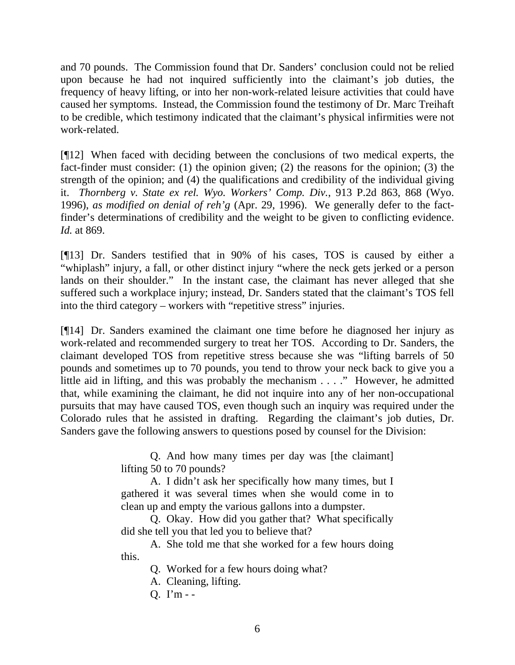and 70 pounds. The Commission found that Dr. Sanders' conclusion could not be relied upon because he had not inquired sufficiently into the claimant's job duties, the frequency of heavy lifting, or into her non-work-related leisure activities that could have caused her symptoms. Instead, the Commission found the testimony of Dr. Marc Treihaft to be credible, which testimony indicated that the claimant's physical infirmities were not work-related.

[¶12] When faced with deciding between the conclusions of two medical experts, the fact-finder must consider: (1) the opinion given; (2) the reasons for the opinion; (3) the strength of the opinion; and (4) the qualifications and credibility of the individual giving it. *Thornberg v. State ex rel. Wyo. Workers' Comp. Div.*, 913 P.2d 863, 868 (Wyo. 1996), *as modified on denial of reh'g* (Apr. 29, 1996). We generally defer to the factfinder's determinations of credibility and the weight to be given to conflicting evidence. *Id.* at 869.

[¶13] Dr. Sanders testified that in 90% of his cases, TOS is caused by either a "whiplash" injury, a fall, or other distinct injury "where the neck gets jerked or a person lands on their shoulder." In the instant case, the claimant has never alleged that she suffered such a workplace injury; instead, Dr. Sanders stated that the claimant's TOS fell into the third category – workers with "repetitive stress" injuries.

[¶14] Dr. Sanders examined the claimant one time before he diagnosed her injury as work-related and recommended surgery to treat her TOS. According to Dr. Sanders, the claimant developed TOS from repetitive stress because she was "lifting barrels of 50 pounds and sometimes up to 70 pounds, you tend to throw your neck back to give you a little aid in lifting, and this was probably the mechanism . . . ." However, he admitted that, while examining the claimant, he did not inquire into any of her non-occupational pursuits that may have caused TOS, even though such an inquiry was required under the Colorado rules that he assisted in drafting. Regarding the claimant's job duties, Dr. Sanders gave the following answers to questions posed by counsel for the Division:

> Q. And how many times per day was [the claimant] lifting 50 to 70 pounds?

> A. I didn't ask her specifically how many times, but I gathered it was several times when she would come in to clean up and empty the various gallons into a dumpster.

> Q. Okay. How did you gather that? What specifically did she tell you that led you to believe that?

> A. She told me that she worked for a few hours doing this.

> > Q. Worked for a few hours doing what?

A. Cleaning, lifting.

Q. I'm - -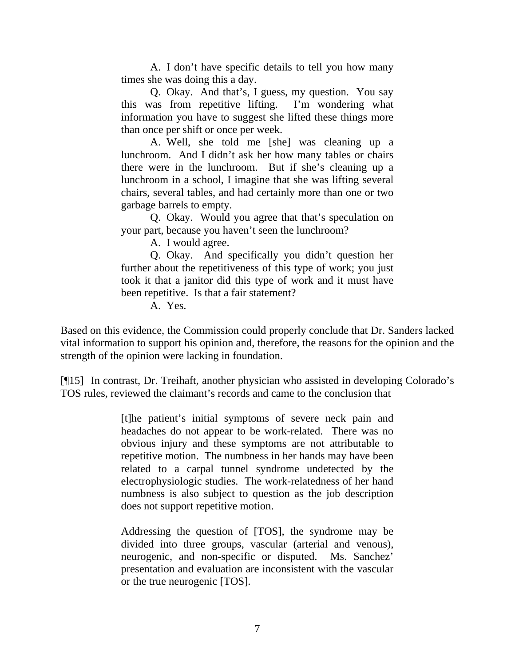A. I don't have specific details to tell you how many times she was doing this a day.

Q. Okay. And that's, I guess, my question. You say this was from repetitive lifting. I'm wondering what information you have to suggest she lifted these things more than once per shift or once per week.

A. Well, she told me [she] was cleaning up a lunchroom. And I didn't ask her how many tables or chairs there were in the lunchroom. But if she's cleaning up a lunchroom in a school, I imagine that she was lifting several chairs, several tables, and had certainly more than one or two garbage barrels to empty.

Q. Okay. Would you agree that that's speculation on your part, because you haven't seen the lunchroom?

A. I would agree.

Q. Okay. And specifically you didn't question her further about the repetitiveness of this type of work; you just took it that a janitor did this type of work and it must have been repetitive. Is that a fair statement?

A. Yes.

Based on this evidence, the Commission could properly conclude that Dr. Sanders lacked vital information to support his opinion and, therefore, the reasons for the opinion and the strength of the opinion were lacking in foundation.

[¶15] In contrast, Dr. Treihaft, another physician who assisted in developing Colorado's TOS rules, reviewed the claimant's records and came to the conclusion that

> [t]he patient's initial symptoms of severe neck pain and headaches do not appear to be work-related. There was no obvious injury and these symptoms are not attributable to repetitive motion. The numbness in her hands may have been related to a carpal tunnel syndrome undetected by the electrophysiologic studies. The work-relatedness of her hand numbness is also subject to question as the job description does not support repetitive motion.

> Addressing the question of [TOS], the syndrome may be divided into three groups, vascular (arterial and venous), neurogenic, and non-specific or disputed. Ms. Sanchez' presentation and evaluation are inconsistent with the vascular or the true neurogenic [TOS].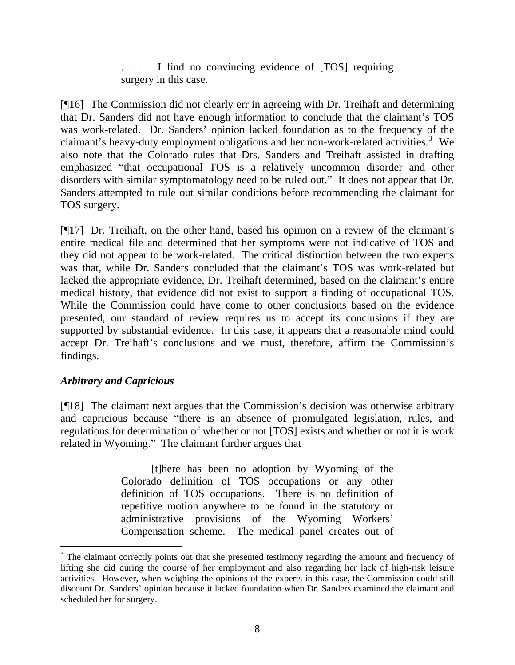... I find no convincing evidence of [TOS] requiring surgery in this case.

[¶16] The Commission did not clearly err in agreeing with Dr. Treihaft and determining that Dr. Sanders did not have enough information to conclude that the claimant's TOS was work-related. Dr. Sanders' opinion lacked foundation as to the frequency of the claimant's heavy-duty employment obligations and her non-work-related activities.<sup>[3](#page-8-0)</sup> We also note that the Colorado rules that Drs. Sanders and Treihaft assisted in drafting emphasized "that occupational TOS is a relatively uncommon disorder and other disorders with similar symptomatology need to be ruled out." It does not appear that Dr. Sanders attempted to rule out similar conditions before recommending the claimant for TOS surgery.

[¶17] Dr. Treihaft, on the other hand, based his opinion on a review of the claimant's entire medical file and determined that her symptoms were not indicative of TOS and they did not appear to be work-related. The critical distinction between the two experts was that, while Dr. Sanders concluded that the claimant's TOS was work-related but lacked the appropriate evidence, Dr. Treihaft determined, based on the claimant's entire medical history, that evidence did not exist to support a finding of occupational TOS. While the Commission could have come to other conclusions based on the evidence presented, our standard of review requires us to accept its conclusions if they are supported by substantial evidence. In this case, it appears that a reasonable mind could accept Dr. Treihaft's conclusions and we must, therefore, affirm the Commission's findings.

# *Arbitrary and Capricious*

[¶18] The claimant next argues that the Commission's decision was otherwise arbitrary and capricious because "there is an absence of promulgated legislation, rules, and regulations for determination of whether or not [TOS] exists and whether or not it is work related in Wyoming." The claimant further argues that

> [t]here has been no adoption by Wyoming of the Colorado definition of TOS occupations or any other definition of TOS occupations. There is no definition of repetitive motion anywhere to be found in the statutory or administrative provisions of the Wyoming Workers' Compensation scheme. The medical panel creates out of

<span id="page-8-0"></span><sup>&</sup>lt;sup>3</sup> The claimant correctly points out that she presented testimony regarding the amount and frequency of lifting she did during the course of her employment and also regarding her lack of high-risk leisure activities. However, when weighing the opinions of the experts in this case, the Commission could still discount Dr. Sanders' opinion because it lacked foundation when Dr. Sanders examined the claimant and scheduled her for surgery.